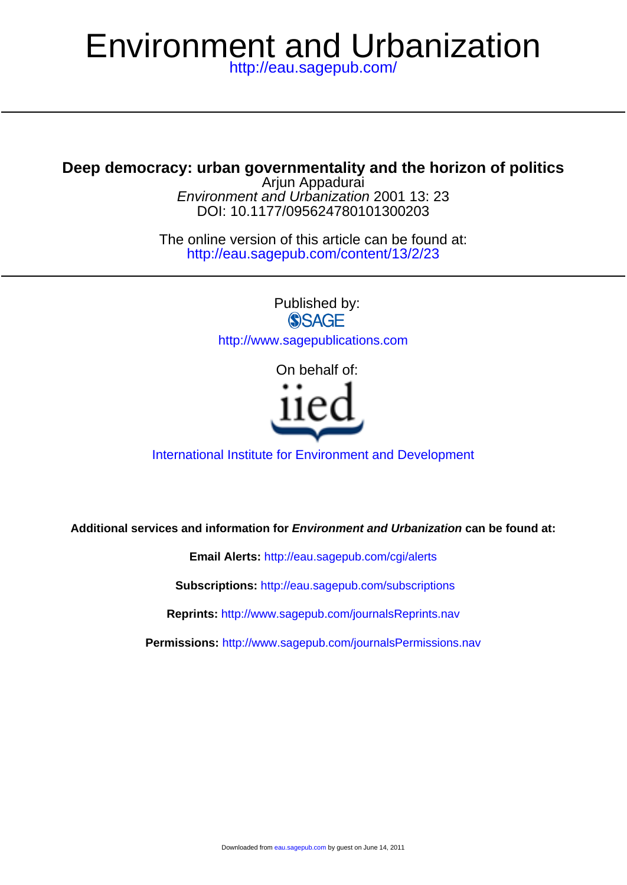# Environment and Urbanization

<http://eau.sagepub.com/>

# **Deep democracy: urban governmentality and the horizon of politics**

DOI: 10.1177/095624780101300203 Environment and Urbanization 2001 13: 23 Arjun Appadurai

<http://eau.sagepub.com/content/13/2/23> The online version of this article can be found at:

> Published by:<br>
> SAGE <http://www.sagepublications.com>

> > On behalf of:



# [International Institute for Environment and Development](http://www.iied.org/)

**Additional services and information for Environment and Urbanization can be found at:**

**Email Alerts:** <http://eau.sagepub.com/cgi/alerts>

**Subscriptions:** <http://eau.sagepub.com/subscriptions>

**Reprints:** <http://www.sagepub.com/journalsReprints.nav>

**Permissions:** <http://www.sagepub.com/journalsPermissions.nav>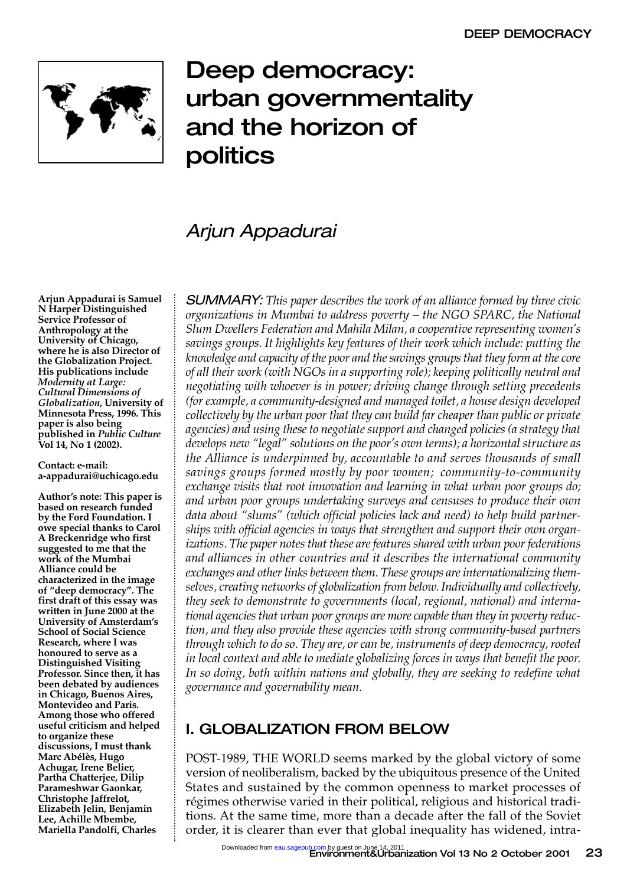

# Deep democracy: urban governmentality and the horizon of politics

# *Arjun Appadurai*

**Arjun Appadurai is Samuel N Harper Distinguished Service Professor of Anthropology at the University of Chicago, where he is also Director of the Globalization Project. His publications include** *Modernity at Large: Cultural Dimensions of Globalization***, University of Minnesota Press, 1996. This paper is also being published in** *Public Culture* **Vol 14, No 1 (2002).**

**Contact: e-mail: a-appadurai@uchicago.edu** 

**Author's note: This paper is based on research funded by the Ford Foundation. I owe special thanks to Carol A Breckenridge who first suggested to me that the work of the Mumbai Alliance could be characterized in the image of "deep democracy". The first draft of this essay was written in June 2000 at the University of Amsterdam's School of Social Science Research, where I was honoured to serve as a Distinguished Visiting Professor. Since then, it has been debated by audiences in Chicago, Buenos Aires, Montevideo and Paris. Among those who offered useful criticism and helped to organize these discussions, I must thank Marc Abélès, Hugo Achugar, Irene Belier, Partha Chatterjee, Dilip Parameshwar Gaonkar, Christophe Jaffrelot, Elizabeth Jelin, Benjamin Lee, Achille Mbembe, Mariella Pandolfi, Charles**

*SUMMARY: This paper describes the work of an alliance formed by three civic organizations in Mumbai to address poverty – the NGO SPARC, the National Slum Dwellers Federation and Mahila Milan, a cooperative representing women's savings groups. It highlights key features of their work which include: putting the knowledge and capacity of the poor and the savings groups that they form at the core of all their work (with NGOs in a supporting role); keeping politically neutral and negotiating with whoever is in power; driving change through setting precedents (for example, a community-designed and managed toilet, a house design developed collectively by the urban poor that they can build far cheaper than public or private agencies) and using these to negotiate support and changed policies (a strategy that develops new "legal" solutions on the poor's own terms); a horizontal structure as the Alliance is underpinned by, accountable to and serves thousands of small savings groups formed mostly by poor women; community-to-community exchange visits that root innovation and learning in what urban poor groups do; and urban poor groups undertaking surveys and censuses to produce their own data about "slums" (which official policies lack and need) to help build partnerships with official agencies in ways that strengthen and support their own organizations. The paper notes that these are features shared with urban poor federations and alliances in other countries and it describes the international community exchanges and other links between them. These groups are internationalizing themselves, creating networks of globalization from below. Individually and collectively, they seek to demonstrate to governments (local, regional, national) and international agencies that urban poor groups are more capable than they in poverty reduction, and they also provide these agencies with strong community-based partners through which to do so. They are, or can be, instruments of deep democracy, rooted in local context and able to mediate globalizing forces in ways that benefit the poor. In so doing, both within nations and globally, they are seeking to redefine what governance and governability mean.* 

# I. GLOBALIZATION FROM BELOW

POST-1989, THE WORLD seems marked by the global victory of some version of neoliberalism, backed by the ubiquitous presence of the United States and sustained by the common openness to market processes of régimes otherwise varied in their political, religious and historical traditions. At the same time, more than a decade after the fall of the Soviet order, it is clearer than ever that global inequality has widened, intra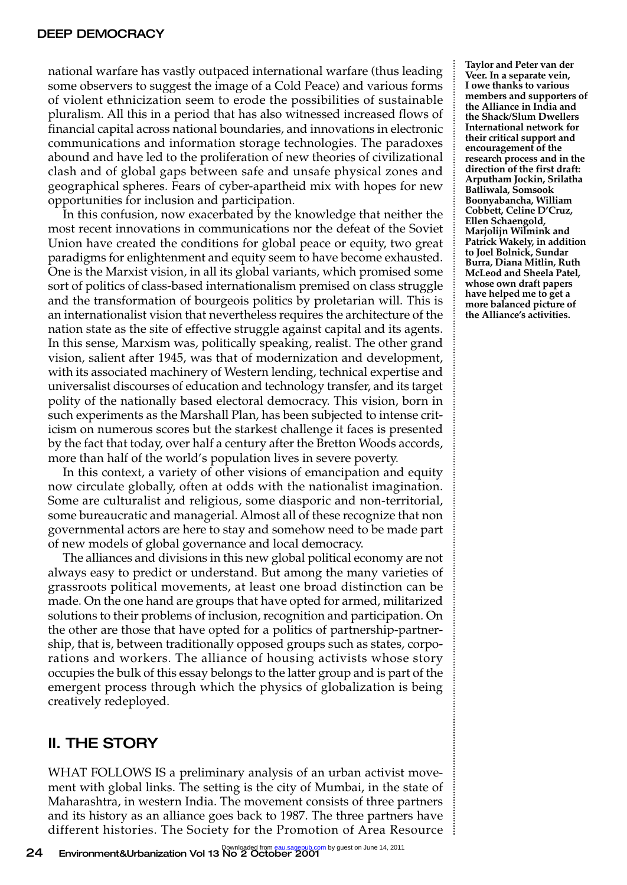national warfare has vastly outpaced international warfare (thus leading some observers to suggest the image of a Cold Peace) and various forms of violent ethnicization seem to erode the possibilities of sustainable pluralism. All this in a period that has also witnessed increased flows of financial capital across national boundaries, and innovations in electronic communications and information storage technologies. The paradoxes abound and have led to the proliferation of new theories of civilizational clash and of global gaps between safe and unsafe physical zones and geographical spheres. Fears of cyber-apartheid mix with hopes for new opportunities for inclusion and participation.

In this confusion, now exacerbated by the knowledge that neither the most recent innovations in communications nor the defeat of the Soviet Union have created the conditions for global peace or equity, two great paradigms for enlightenment and equity seem to have become exhausted. One is the Marxist vision, in all its global variants, which promised some sort of politics of class-based internationalism premised on class struggle and the transformation of bourgeois politics by proletarian will. This is an internationalist vision that nevertheless requires the architecture of the nation state as the site of effective struggle against capital and its agents. In this sense, Marxism was, politically speaking, realist. The other grand vision, salient after 1945, was that of modernization and development, with its associated machinery of Western lending, technical expertise and universalist discourses of education and technology transfer, and its target polity of the nationally based electoral democracy. This vision, born in such experiments as the Marshall Plan, has been subjected to intense criticism on numerous scores but the starkest challenge it faces is presented by the fact that today, over half a century after the Bretton Woods accords, more than half of the world's population lives in severe poverty.

In this context, a variety of other visions of emancipation and equity now circulate globally, often at odds with the nationalist imagination. Some are culturalist and religious, some diasporic and non-territorial, some bureaucratic and managerial. Almost all of these recognize that non governmental actors are here to stay and somehow need to be made part of new models of global governance and local democracy.

The alliances and divisions in this new global political economy are not always easy to predict or understand. But among the many varieties of grassroots political movements, at least one broad distinction can be made. On the one hand are groups that have opted for armed, militarized solutions to their problems of inclusion, recognition and participation. On the other are those that have opted for a politics of partnership-partnership, that is, between traditionally opposed groups such as states, corporations and workers. The alliance of housing activists whose story occupies the bulk of this essay belongs to the latter group and is part of the emergent process through which the physics of globalization is being creatively redeployed.

# II. THE STORY

WHAT FOLLOWS IS a preliminary analysis of an urban activist movement with global links. The setting is the city of Mumbai, in the state of Maharashtra, in western India. The movement consists of three partners and its history as an alliance goes back to 1987. The three partners have different histories. The Society for the Promotion of Area Resource

**Taylor and Peter van der Veer. In a separate vein, I owe thanks to various members and supporters of the Alliance in India and the Shack/Slum Dwellers International network for their critical support and encouragement of the research process and in the direction of the first draft: Arputham Jockin, Srilatha Batliwala, Somsook Boonyabancha, William Cobbett, Celine D'Cruz, Ellen Schaengold, Marjolijn Wilmink and Patrick Wakely, in addition to Joel Bolnick, Sundar Burra, Diana Mitlin, Ruth McLeod and Sheela Patel, whose own draft papers have helped me to get a more balanced picture of the Alliance's activities.**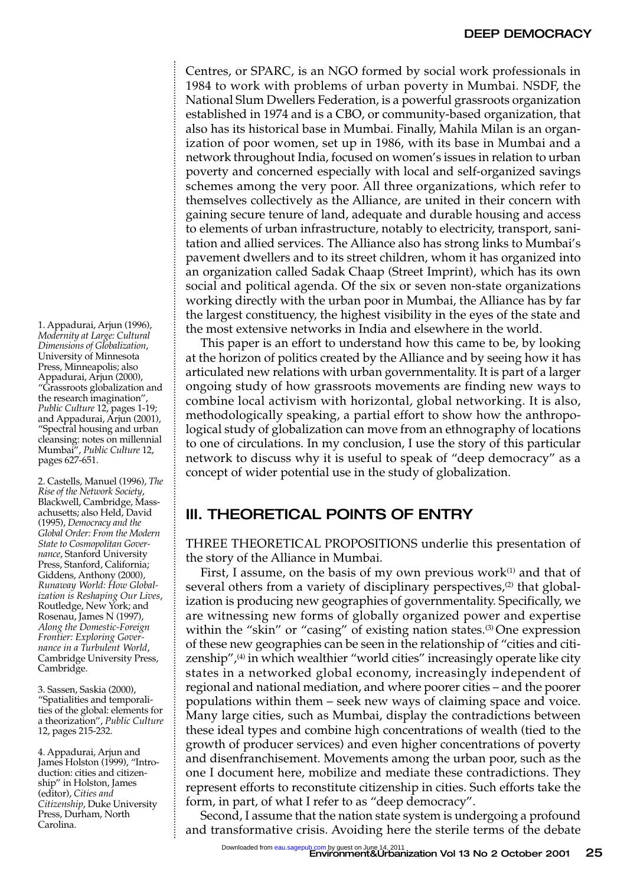#### DEEP DEMOCRACY

Centres, or SPARC, is an NGO formed by social work professionals in 1984 to work with problems of urban poverty in Mumbai. NSDF, the National Slum Dwellers Federation, is a powerful grassroots organization established in 1974 and is a CBO, or community-based organization, that also has its historical base in Mumbai. Finally, Mahila Milan is an organization of poor women, set up in 1986, with its base in Mumbai and a network throughout India, focused on women's issues in relation to urban poverty and concerned especially with local and self-organized savings schemes among the very poor. All three organizations, which refer to themselves collectively as the Alliance, are united in their concern with gaining secure tenure of land, adequate and durable housing and access to elements of urban infrastructure, notably to electricity, transport, sanitation and allied services. The Alliance also has strong links to Mumbai's pavement dwellers and to its street children, whom it has organized into an organization called Sadak Chaap (Street Imprint), which has its own social and political agenda. Of the six or seven non-state organizations working directly with the urban poor in Mumbai, the Alliance has by far the largest constituency, the highest visibility in the eyes of the state and the most extensive networks in India and elsewhere in the world.

This paper is an effort to understand how this came to be, by looking at the horizon of politics created by the Alliance and by seeing how it has articulated new relations with urban governmentality. It is part of a larger ongoing study of how grassroots movements are finding new ways to combine local activism with horizontal, global networking. It is also, methodologically speaking, a partial effort to show how the anthropological study of globalization can move from an ethnography of locations to one of circulations. In my conclusion, I use the story of this particular network to discuss why it is useful to speak of "deep democracy" as a concept of wider potential use in the study of globalization.

# III. THEORETICAL POINTS OF ENTRY

THREE THEORETICAL PROPOSITIONS underlie this presentation of the story of the Alliance in Mumbai.

First, I assume, on the basis of my own previous work $(1)$  and that of several others from a variety of disciplinary perspectives,<sup>(2)</sup> that globalization is producing new geographies of governmentality. Specifically, we are witnessing new forms of globally organized power and expertise within the "skin" or "casing" of existing nation states.<sup>(3)</sup> One expression of these new geographies can be seen in the relationship of "cities and citizenship", (4) in which wealthier "world cities" increasingly operate like city states in a networked global economy, increasingly independent of regional and national mediation, and where poorer cities – and the poorer populations within them – seek new ways of claiming space and voice. Many large cities, such as Mumbai, display the contradictions between these ideal types and combine high concentrations of wealth (tied to the growth of producer services) and even higher concentrations of poverty and disenfranchisement. Movements among the urban poor, such as the one I document here, mobilize and mediate these contradictions. They represent efforts to reconstitute citizenship in cities. Such efforts take the form, in part, of what I refer to as "deep democracy".

Second, I assume that the nation state system is undergoing a profound and transformative crisis. Avoiding here the sterile terms of the debate

1. Appadurai, Arjun (1996), *Modernity at Large: Cultural Dimensions of Globalization*, University of Minnesota Press, Minneapolis; also Appadurai, Arjun (2000), "Grassroots globalization and the research imagination", *Public Culture* 12, pages 1-19; and Appadurai, Arjun (2001), "Spectral housing and urban cleansing: notes on millennial Mumbai", *Public Culture* 12, pages 627-651.

2. Castells, Manuel (1996), *The Rise of the Network Society*, Blackwell, Cambridge, Massachusetts; also Held, David (1995), *Democracy and the Global Order: From the Modern State to Cosmopolitan Governance*, Stanford University Press, Stanford, California; Giddens, Anthony (2000), *Runaway World: How Globalization is Reshaping Our Lives*, Routledge, New York; and Rosenau, James N (1997), *Along the Domestic-Foreign Frontier: Exploring Governance in a Turbulent World*, Cambridge University Press, Cambridge.

3. Sassen, Saskia (2000), "Spatialities and temporalities of the global: elements for a theorization", *Public Culture* 12, pages 215-232.

4. Appadurai, Arjun and James Holston (1999), "Introduction: cities and citizenship" in Holston, James (editor), *Cities and Citizenship*, Duke University Press, Durham, North Carolina.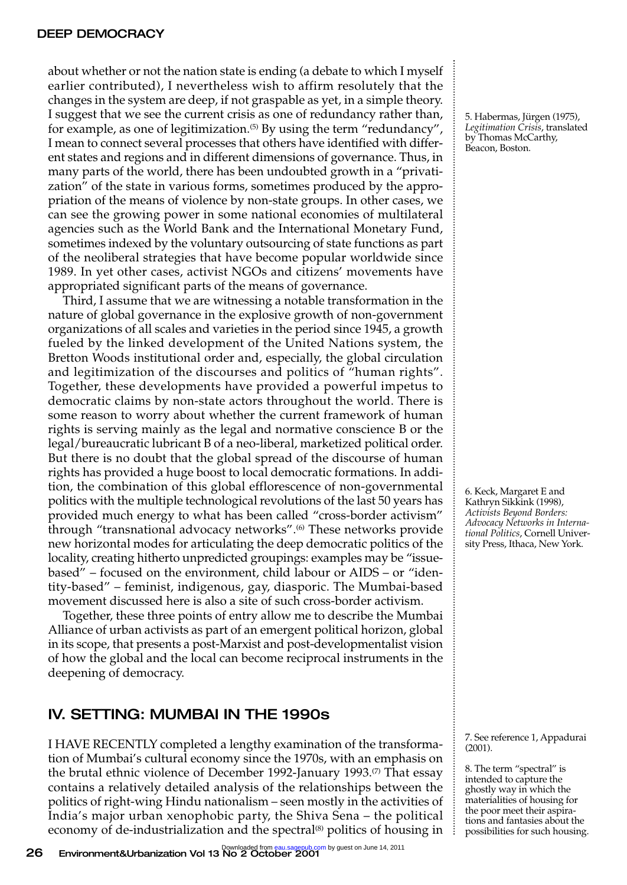about whether or not the nation state is ending (a debate to which I myself earlier contributed), I nevertheless wish to affirm resolutely that the changes in the system are deep, if not graspable as yet, in a simple theory. I suggest that we see the current crisis as one of redundancy rather than, for example, as one of legitimization.<sup>(5)</sup> By using the term "redundancy", I mean to connect several processes that others have identified with different states and regions and in different dimensions of governance. Thus, in many parts of the world, there has been undoubted growth in a "privatization" of the state in various forms, sometimes produced by the appropriation of the means of violence by non-state groups. In other cases, we can see the growing power in some national economies of multilateral agencies such as the World Bank and the International Monetary Fund, sometimes indexed by the voluntary outsourcing of state functions as part of the neoliberal strategies that have become popular worldwide since 1989. In yet other cases, activist NGOs and citizens' movements have appropriated significant parts of the means of governance.

Third, I assume that we are witnessing a notable transformation in the nature of global governance in the explosive growth of non-government organizations of all scales and varieties in the period since 1945, a growth fueled by the linked development of the United Nations system, the Bretton Woods institutional order and, especially, the global circulation and legitimization of the discourses and politics of "human rights". Together, these developments have provided a powerful impetus to democratic claims by non-state actors throughout the world. There is some reason to worry about whether the current framework of human rights is serving mainly as the legal and normative conscience B or the legal/bureaucratic lubricant B of a neo-liberal, marketized political order. But there is no doubt that the global spread of the discourse of human rights has provided a huge boost to local democratic formations. In addition, the combination of this global efflorescence of non-governmental politics with the multiple technological revolutions of the last 50 years has provided much energy to what has been called "cross-border activism" through "transnational advocacy networks". (6) These networks provide new horizontal modes for articulating the deep democratic politics of the locality, creating hitherto unpredicted groupings: examples may be "issuebased" – focused on the environment, child labour or AIDS – or "identity-based" – feminist, indigenous, gay, diasporic. The Mumbai-based movement discussed here is also a site of such cross-border activism.

Together, these three points of entry allow me to describe the Mumbai Alliance of urban activists as part of an emergent political horizon, global in its scope, that presents a post-Marxist and post-developmentalist vision of how the global and the local can become reciprocal instruments in the deepening of democracy.

# IV. SETTING: MUMBAI IN THE 1990s

I HAVE RECENTLY completed a lengthy examination of the transformation of Mumbai's cultural economy since the 1970s, with an emphasis on the brutal ethnic violence of December 1992-January 1993. $\sigma$  That essay contains a relatively detailed analysis of the relationships between the politics of right-wing Hindu nationalism – seen mostly in the activities of India's major urban xenophobic party, the Shiva Sena – the political economy of de-industrialization and the spectral<sup>(8)</sup> politics of housing in 5. Habermas, Jürgen (1975), *Legitimation Crisis*, translated by Thomas McCarthy, Beacon, Boston.

6. Keck, Margaret E and Kathryn Sikkink (1998), *Activists Beyond Borders: Advocacy Networks in International Politics*, Cornell University Press, Ithaca, New York.

7. See reference 1, Appadurai (2001).

8. The term "spectral" is intended to capture the ghostly way in which the materialities of housing for the poor meet their aspirations and fantasies about the possibilities for such housing.

÷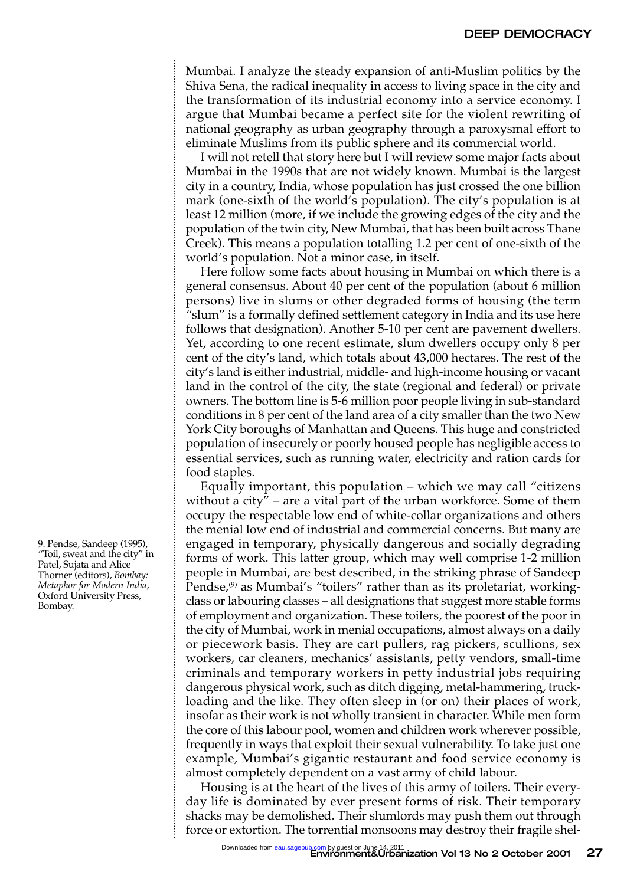Mumbai. I analyze the steady expansion of anti-Muslim politics by the Shiva Sena, the radical inequality in access to living space in the city and the transformation of its industrial economy into a service economy. I argue that Mumbai became a perfect site for the violent rewriting of national geography as urban geography through a paroxysmal effort to eliminate Muslims from its public sphere and its commercial world.

I will not retell that story here but I will review some major facts about Mumbai in the 1990s that are not widely known. Mumbai is the largest city in a country, India, whose population has just crossed the one billion mark (one-sixth of the world's population). The city's population is at least 12 million (more, if we include the growing edges of the city and the population of the twin city, New Mumbai, that has been built across Thane Creek). This means a population totalling 1.2 per cent of one-sixth of the world's population. Not a minor case, in itself.

Here follow some facts about housing in Mumbai on which there is a general consensus. About 40 per cent of the population (about 6 million persons) live in slums or other degraded forms of housing (the term "slum" is a formally defined settlement category in India and its use here follows that designation). Another 5-10 per cent are pavement dwellers. Yet, according to one recent estimate, slum dwellers occupy only 8 per cent of the city's land, which totals about 43,000 hectares. The rest of the city's land is either industrial, middle- and high-income housing or vacant land in the control of the city, the state (regional and federal) or private owners. The bottom line is 5-6 million poor people living in sub-standard conditions in 8 per cent of the land area of a city smaller than the two New York City boroughs of Manhattan and Queens. This huge and constricted population of insecurely or poorly housed people has negligible access to essential services, such as running water, electricity and ration cards for food staples.

Equally important, this population – which we may call "citizens without a city" – are a vital part of the urban workforce. Some of them occupy the respectable low end of white-collar organizations and others the menial low end of industrial and commercial concerns. But many are engaged in temporary, physically dangerous and socially degrading forms of work. This latter group, which may well comprise 1-2 million people in Mumbai, are best described, in the striking phrase of Sandeep Pendse,<sup>(9)</sup> as Mumbai's "toilers" rather than as its proletariat, workingclass or labouring classes – all designations that suggest more stable forms of employment and organization. These toilers, the poorest of the poor in the city of Mumbai, work in menial occupations, almost always on a daily or piecework basis. They are cart pullers, rag pickers, scullions, sex workers, car cleaners, mechanics' assistants, petty vendors, small-time criminals and temporary workers in petty industrial jobs requiring dangerous physical work, such as ditch digging, metal-hammering, truckloading and the like. They often sleep in (or on) their places of work, insofar as their work is not wholly transient in character. While men form the core of this labour pool, women and children work wherever possible, frequently in ways that exploit their sexual vulnerability. To take just one example, Mumbai's gigantic restaurant and food service economy is almost completely dependent on a vast army of child labour.

Housing is at the heart of the lives of this army of toilers. Their everyday life is dominated by ever present forms of risk. Their temporary shacks may be demolished. Their slumlords may push them out through force or extortion. The torrential monsoons may destroy their fragile shel-

9. Pendse, Sandeep (1995), "Toil, sweat and the city" in Patel, Sujata and Alice Thorner (editors), *Bombay: Metaphor for Modern India*, Oxford University Press, Bombay.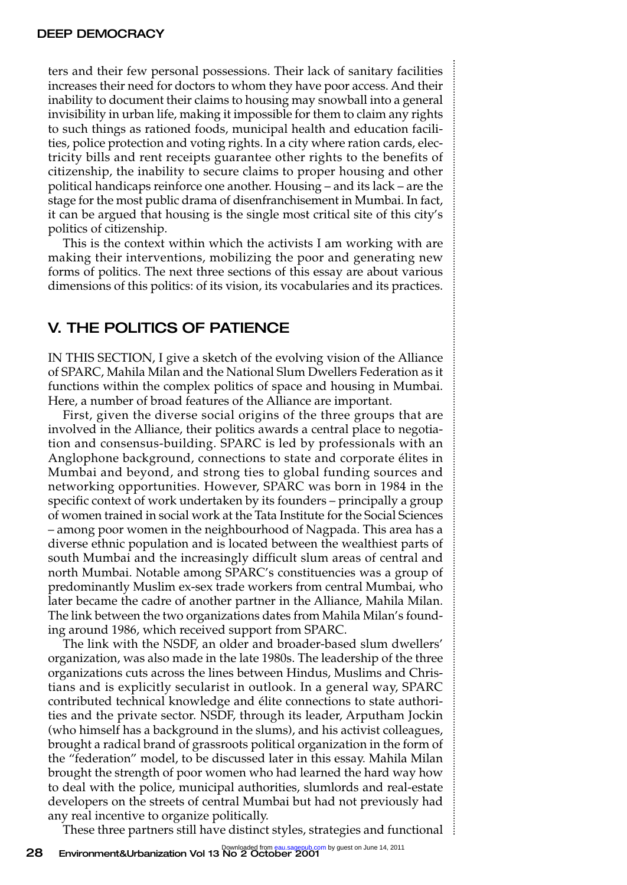ters and their few personal possessions. Their lack of sanitary facilities increases their need for doctors to whom they have poor access. And their inability to document their claims to housing may snowball into a general invisibility in urban life, making it impossible for them to claim any rights to such things as rationed foods, municipal health and education facilities, police protection and voting rights. In a city where ration cards, electricity bills and rent receipts guarantee other rights to the benefits of citizenship, the inability to secure claims to proper housing and other political handicaps reinforce one another. Housing – and its lack – are the stage for the most public drama of disenfranchisement in Mumbai. In fact, it can be argued that housing is the single most critical site of this city's politics of citizenship.

This is the context within which the activists I am working with are making their interventions, mobilizing the poor and generating new forms of politics. The next three sections of this essay are about various dimensions of this politics: of its vision, its vocabularies and its practices.

## V. THE POLITICS OF PATIENCE

IN THIS SECTION, I give a sketch of the evolving vision of the Alliance of SPARC, Mahila Milan and the National Slum Dwellers Federation as it functions within the complex politics of space and housing in Mumbai. Here, a number of broad features of the Alliance are important.

First, given the diverse social origins of the three groups that are involved in the Alliance, their politics awards a central place to negotiation and consensus-building. SPARC is led by professionals with an Anglophone background, connections to state and corporate élites in Mumbai and beyond, and strong ties to global funding sources and networking opportunities. However, SPARC was born in 1984 in the specific context of work undertaken by its founders – principally a group of women trained in social work at the Tata Institute for the Social Sciences – among poor women in the neighbourhood of Nagpada. This area has a diverse ethnic population and is located between the wealthiest parts of south Mumbai and the increasingly difficult slum areas of central and north Mumbai. Notable among SPARC's constituencies was a group of predominantly Muslim ex-sex trade workers from central Mumbai, who later became the cadre of another partner in the Alliance, Mahila Milan. The link between the two organizations dates from Mahila Milan's founding around 1986, which received support from SPARC.

The link with the NSDF, an older and broader-based slum dwellers' organization, was also made in the late 1980s. The leadership of the three organizations cuts across the lines between Hindus, Muslims and Christians and is explicitly secularist in outlook. In a general way, SPARC contributed technical knowledge and élite connections to state authorities and the private sector. NSDF, through its leader, Arputham Jockin (who himself has a background in the slums), and his activist colleagues, brought a radical brand of grassroots political organization in the form of the "federation" model, to be discussed later in this essay. Mahila Milan brought the strength of poor women who had learned the hard way how to deal with the police, municipal authorities, slumlords and real-estate developers on the streets of central Mumbai but had not previously had any real incentive to organize politically.

These three partners still have distinct styles, strategies and functional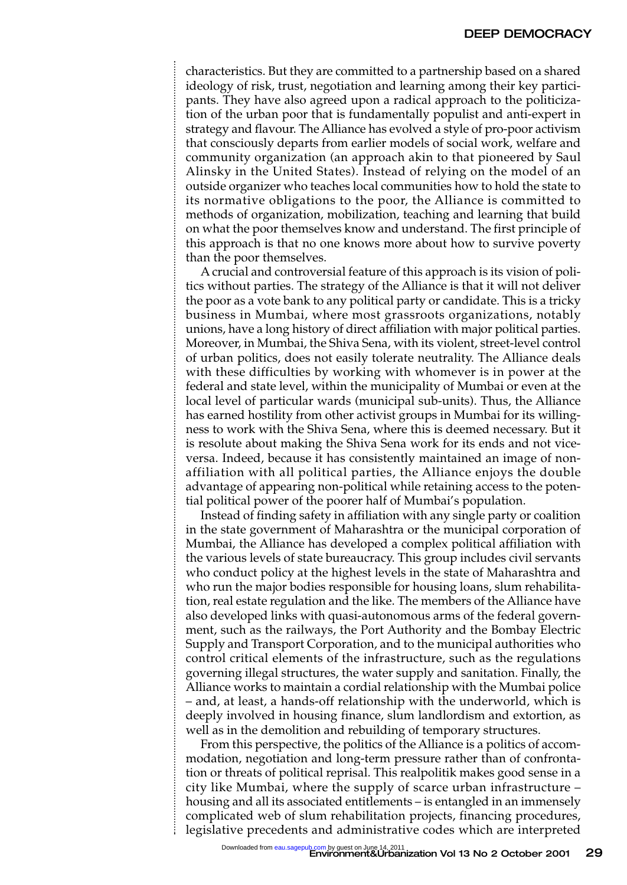characteristics. But they are committed to a partnership based on a shared ideology of risk, trust, negotiation and learning among their key participants. They have also agreed upon a radical approach to the politicization of the urban poor that is fundamentally populist and anti-expert in strategy and flavour. The Alliance has evolved a style of pro-poor activism that consciously departs from earlier models of social work, welfare and community organization (an approach akin to that pioneered by Saul Alinsky in the United States). Instead of relying on the model of an outside organizer who teaches local communities how to hold the state to its normative obligations to the poor, the Alliance is committed to methods of organization, mobilization, teaching and learning that build on what the poor themselves know and understand. The first principle of this approach is that no one knows more about how to survive poverty than the poor themselves.

A crucial and controversial feature of this approach is its vision of politics without parties. The strategy of the Alliance is that it will not deliver the poor as a vote bank to any political party or candidate. This is a tricky business in Mumbai, where most grassroots organizations, notably unions, have a long history of direct affiliation with major political parties. Moreover, in Mumbai, the Shiva Sena, with its violent, street-level control of urban politics, does not easily tolerate neutrality. The Alliance deals with these difficulties by working with whomever is in power at the federal and state level, within the municipality of Mumbai or even at the local level of particular wards (municipal sub-units). Thus, the Alliance has earned hostility from other activist groups in Mumbai for its willingness to work with the Shiva Sena, where this is deemed necessary. But it is resolute about making the Shiva Sena work for its ends and not viceversa. Indeed, because it has consistently maintained an image of nonaffiliation with all political parties, the Alliance enjoys the double advantage of appearing non-political while retaining access to the potential political power of the poorer half of Mumbai's population.

Instead of finding safety in affiliation with any single party or coalition in the state government of Maharashtra or the municipal corporation of Mumbai, the Alliance has developed a complex political affiliation with the various levels of state bureaucracy. This group includes civil servants who conduct policy at the highest levels in the state of Maharashtra and who run the major bodies responsible for housing loans, slum rehabilitation, real estate regulation and the like. The members of the Alliance have also developed links with quasi-autonomous arms of the federal government, such as the railways, the Port Authority and the Bombay Electric Supply and Transport Corporation, and to the municipal authorities who control critical elements of the infrastructure, such as the regulations governing illegal structures, the water supply and sanitation. Finally, the Alliance works to maintain a cordial relationship with the Mumbai police – and, at least, a hands-off relationship with the underworld, which is deeply involved in housing finance, slum landlordism and extortion, as well as in the demolition and rebuilding of temporary structures.

From this perspective, the politics of the Alliance is a politics of accommodation, negotiation and long-term pressure rather than of confrontation or threats of political reprisal. This realpolitik makes good sense in a city like Mumbai, where the supply of scarce urban infrastructure – housing and all its associated entitlements – is entangled in an immensely complicated web of slum rehabilitation projects, financing procedures, legislative precedents and administrative codes which are interpreted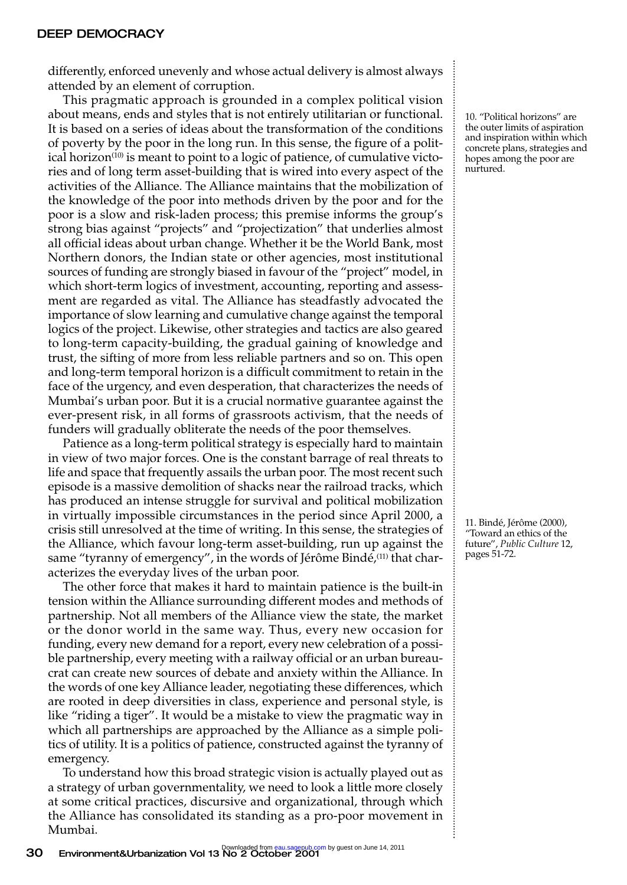differently, enforced unevenly and whose actual delivery is almost always attended by an element of corruption.

This pragmatic approach is grounded in a complex political vision about means, ends and styles that is not entirely utilitarian or functional. It is based on a series of ideas about the transformation of the conditions of poverty by the poor in the long run. In this sense, the figure of a political horizon $(10)$  is meant to point to a logic of patience, of cumulative victories and of long term asset-building that is wired into every aspect of the activities of the Alliance. The Alliance maintains that the mobilization of the knowledge of the poor into methods driven by the poor and for the poor is a slow and risk-laden process; this premise informs the group's strong bias against "projects" and "projectization" that underlies almost all official ideas about urban change. Whether it be the World Bank, most Northern donors, the Indian state or other agencies, most institutional sources of funding are strongly biased in favour of the "project" model, in which short-term logics of investment, accounting, reporting and assessment are regarded as vital. The Alliance has steadfastly advocated the importance of slow learning and cumulative change against the temporal logics of the project. Likewise, other strategies and tactics are also geared to long-term capacity-building, the gradual gaining of knowledge and trust, the sifting of more from less reliable partners and so on. This open and long-term temporal horizon is a difficult commitment to retain in the face of the urgency, and even desperation, that characterizes the needs of Mumbai's urban poor. But it is a crucial normative guarantee against the ever-present risk, in all forms of grassroots activism, that the needs of funders will gradually obliterate the needs of the poor themselves.

Patience as a long-term political strategy is especially hard to maintain in view of two major forces. One is the constant barrage of real threats to life and space that frequently assails the urban poor. The most recent such episode is a massive demolition of shacks near the railroad tracks, which has produced an intense struggle for survival and political mobilization in virtually impossible circumstances in the period since April 2000, a crisis still unresolved at the time of writing. In this sense, the strategies of the Alliance, which favour long-term asset-building, run up against the same "tyranny of emergency", in the words of Jérôme Bindé, (11) that characterizes the everyday lives of the urban poor.

The other force that makes it hard to maintain patience is the built-in tension within the Alliance surrounding different modes and methods of partnership. Not all members of the Alliance view the state, the market or the donor world in the same way. Thus, every new occasion for funding, every new demand for a report, every new celebration of a possible partnership, every meeting with a railway official or an urban bureaucrat can create new sources of debate and anxiety within the Alliance. In the words of one key Alliance leader, negotiating these differences, which are rooted in deep diversities in class, experience and personal style, is like "riding a tiger". It would be a mistake to view the pragmatic way in which all partnerships are approached by the Alliance as a simple politics of utility. It is a politics of patience, constructed against the tyranny of emergency.

To understand how this broad strategic vision is actually played out as a strategy of urban governmentality, we need to look a little more closely at some critical practices, discursive and organizational, through which the Alliance has consolidated its standing as a pro-poor movement in Mumbai.

10. "Political horizons" are the outer limits of aspiration and inspiration within which concrete plans, strategies and hopes among the poor are nurtured.

11. Bindé, Jérôme (2000), "Toward an ethics of the future", *Public Culture* 12, pages 51-72.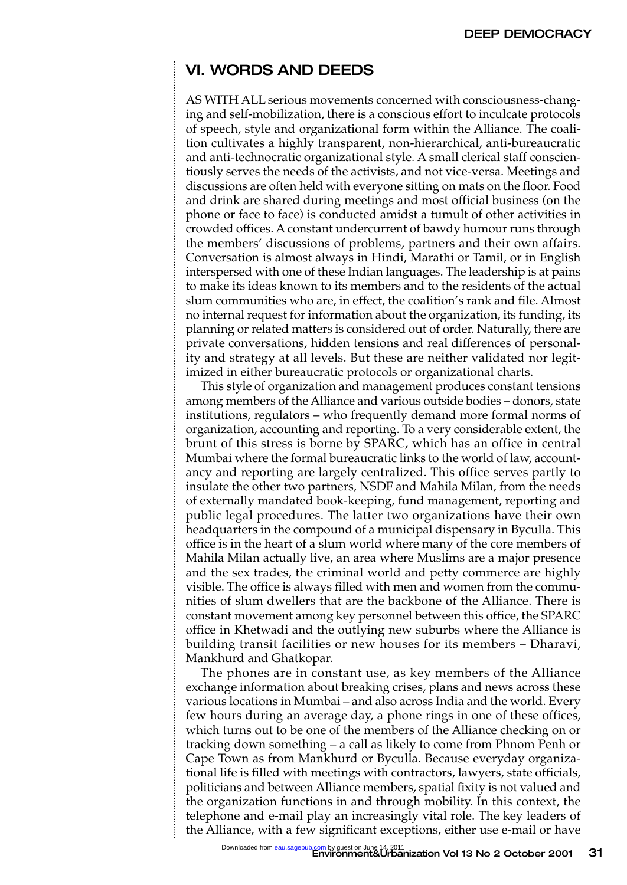# VI. WORDS AND DEEDS

AS WITH ALL serious movements concerned with consciousness-changing and self-mobilization, there is a conscious effort to inculcate protocols of speech, style and organizational form within the Alliance. The coalition cultivates a highly transparent, non-hierarchical, anti-bureaucratic and anti-technocratic organizational style. A small clerical staff conscientiously serves the needs of the activists, and not vice-versa. Meetings and discussions are often held with everyone sitting on mats on the floor. Food and drink are shared during meetings and most official business (on the phone or face to face) is conducted amidst a tumult of other activities in crowded offices. A constant undercurrent of bawdy humour runs through the members' discussions of problems, partners and their own affairs. Conversation is almost always in Hindi, Marathi or Tamil, or in English interspersed with one of these Indian languages. The leadership is at pains to make its ideas known to its members and to the residents of the actual slum communities who are, in effect, the coalition's rank and file. Almost no internal request for information about the organization, its funding, its planning or related matters is considered out of order. Naturally, there are private conversations, hidden tensions and real differences of personality and strategy at all levels. But these are neither validated nor legitimized in either bureaucratic protocols or organizational charts.

This style of organization and management produces constant tensions among members of the Alliance and various outside bodies – donors, state institutions, regulators – who frequently demand more formal norms of organization, accounting and reporting. To a very considerable extent, the brunt of this stress is borne by SPARC, which has an office in central Mumbai where the formal bureaucratic links to the world of law, accountancy and reporting are largely centralized. This office serves partly to insulate the other two partners, NSDF and Mahila Milan, from the needs of externally mandated book-keeping, fund management, reporting and public legal procedures. The latter two organizations have their own headquarters in the compound of a municipal dispensary in Byculla. This office is in the heart of a slum world where many of the core members of Mahila Milan actually live, an area where Muslims are a major presence and the sex trades, the criminal world and petty commerce are highly visible. The office is always filled with men and women from the communities of slum dwellers that are the backbone of the Alliance. There is constant movement among key personnel between this office, the SPARC office in Khetwadi and the outlying new suburbs where the Alliance is building transit facilities or new houses for its members – Dharavi, Mankhurd and Ghatkopar.

The phones are in constant use, as key members of the Alliance exchange information about breaking crises, plans and news across these various locations in Mumbai – and also across India and the world. Every few hours during an average day, a phone rings in one of these offices, which turns out to be one of the members of the Alliance checking on or tracking down something – a call as likely to come from Phnom Penh or Cape Town as from Mankhurd or Byculla. Because everyday organizational life is filled with meetings with contractors, lawyers, state officials, politicians and between Alliance members, spatial fixity is not valued and the organization functions in and through mobility. In this context, the telephone and e-mail play an increasingly vital role. The key leaders of the Alliance, with a few significant exceptions, either use e-mail or have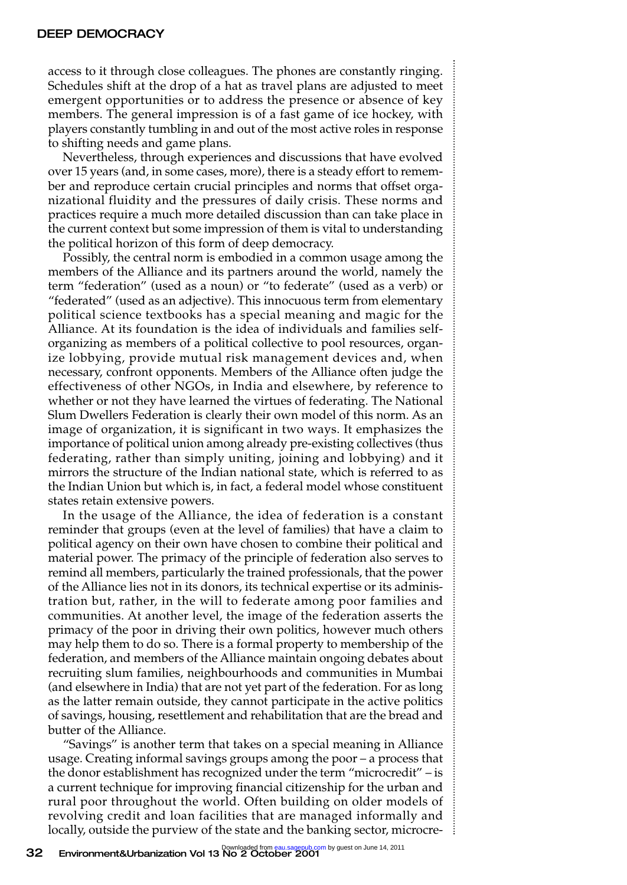access to it through close colleagues. The phones are constantly ringing. Schedules shift at the drop of a hat as travel plans are adjusted to meet emergent opportunities or to address the presence or absence of key members. The general impression is of a fast game of ice hockey, with players constantly tumbling in and out of the most active roles in response to shifting needs and game plans.

Nevertheless, through experiences and discussions that have evolved over 15 years (and, in some cases, more), there is a steady effort to remember and reproduce certain crucial principles and norms that offset organizational fluidity and the pressures of daily crisis. These norms and practices require a much more detailed discussion than can take place in the current context but some impression of them is vital to understanding the political horizon of this form of deep democracy.

Possibly, the central norm is embodied in a common usage among the members of the Alliance and its partners around the world, namely the term "federation" (used as a noun) or "to federate" (used as a verb) or "federated" (used as an adjective). This innocuous term from elementary political science textbooks has a special meaning and magic for the Alliance. At its foundation is the idea of individuals and families selforganizing as members of a political collective to pool resources, organize lobbying, provide mutual risk management devices and, when necessary, confront opponents. Members of the Alliance often judge the effectiveness of other NGOs, in India and elsewhere, by reference to whether or not they have learned the virtues of federating. The National Slum Dwellers Federation is clearly their own model of this norm. As an image of organization, it is significant in two ways. It emphasizes the importance of political union among already pre-existing collectives (thus federating, rather than simply uniting, joining and lobbying) and it mirrors the structure of the Indian national state, which is referred to as the Indian Union but which is, in fact, a federal model whose constituent states retain extensive powers.

In the usage of the Alliance, the idea of federation is a constant reminder that groups (even at the level of families) that have a claim to political agency on their own have chosen to combine their political and material power. The primacy of the principle of federation also serves to remind all members, particularly the trained professionals, that the power of the Alliance lies not in its donors, its technical expertise or its administration but, rather, in the will to federate among poor families and communities. At another level, the image of the federation asserts the primacy of the poor in driving their own politics, however much others may help them to do so. There is a formal property to membership of the federation, and members of the Alliance maintain ongoing debates about recruiting slum families, neighbourhoods and communities in Mumbai (and elsewhere in India) that are not yet part of the federation. For as long as the latter remain outside, they cannot participate in the active politics of savings, housing, resettlement and rehabilitation that are the bread and butter of the Alliance.

"Savings" is another term that takes on a special meaning in Alliance usage. Creating informal savings groups among the poor – a process that the donor establishment has recognized under the term "microcredit" – is a current technique for improving financial citizenship for the urban and rural poor throughout the world. Often building on older models of revolving credit and loan facilities that are managed informally and locally, outside the purview of the state and the banking sector, microcre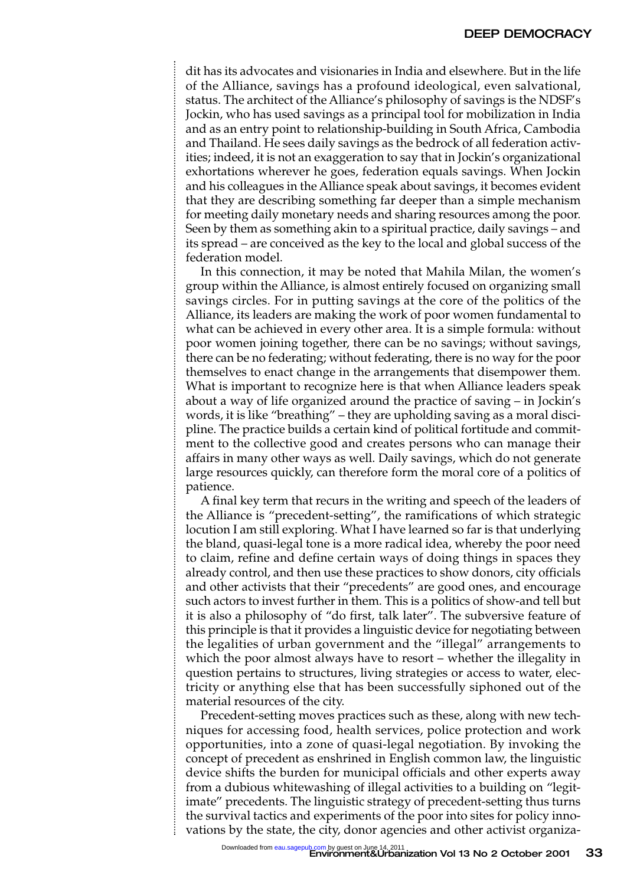dit has its advocates and visionaries in India and elsewhere. But in the life of the Alliance, savings has a profound ideological, even salvational, status. The architect of the Alliance's philosophy of savings is the NDSF's Jockin, who has used savings as a principal tool for mobilization in India and as an entry point to relationship-building in South Africa, Cambodia and Thailand. He sees daily savings as the bedrock of all federation activities; indeed, it is not an exaggeration to say that in Jockin's organizational exhortations wherever he goes, federation equals savings. When Jockin and his colleagues in the Alliance speak about savings, it becomes evident that they are describing something far deeper than a simple mechanism for meeting daily monetary needs and sharing resources among the poor. Seen by them as something akin to a spiritual practice, daily savings – and its spread – are conceived as the key to the local and global success of the federation model.

In this connection, it may be noted that Mahila Milan, the women's group within the Alliance, is almost entirely focused on organizing small savings circles. For in putting savings at the core of the politics of the Alliance, its leaders are making the work of poor women fundamental to what can be achieved in every other area. It is a simple formula: without poor women joining together, there can be no savings; without savings, there can be no federating; without federating, there is no way for the poor themselves to enact change in the arrangements that disempower them. What is important to recognize here is that when Alliance leaders speak about a way of life organized around the practice of saving – in Jockin's words, it is like "breathing" – they are upholding saving as a moral discipline. The practice builds a certain kind of political fortitude and commitment to the collective good and creates persons who can manage their affairs in many other ways as well. Daily savings, which do not generate large resources quickly, can therefore form the moral core of a politics of patience.

A final key term that recurs in the writing and speech of the leaders of the Alliance is "precedent-setting", the ramifications of which strategic locution I am still exploring. What I have learned so far is that underlying the bland, quasi-legal tone is a more radical idea, whereby the poor need to claim, refine and define certain ways of doing things in spaces they already control, and then use these practices to show donors, city officials and other activists that their "precedents" are good ones, and encourage such actors to invest further in them. This is a politics of show-and tell but it is also a philosophy of "do first, talk later". The subversive feature of this principle is that it provides a linguistic device for negotiating between the legalities of urban government and the "illegal" arrangements to which the poor almost always have to resort – whether the illegality in question pertains to structures, living strategies or access to water, electricity or anything else that has been successfully siphoned out of the material resources of the city.

Precedent-setting moves practices such as these, along with new techniques for accessing food, health services, police protection and work opportunities, into a zone of quasi-legal negotiation. By invoking the concept of precedent as enshrined in English common law, the linguistic device shifts the burden for municipal officials and other experts away from a dubious whitewashing of illegal activities to a building on "legitimate" precedents. The linguistic strategy of precedent-setting thus turns the survival tactics and experiments of the poor into sites for policy innovations by the state, the city, donor agencies and other activist organiza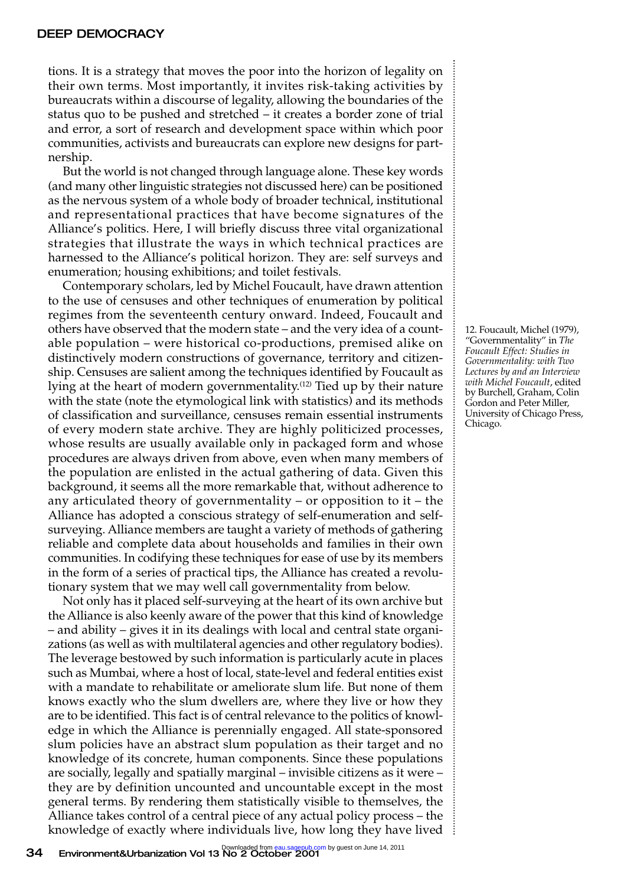tions. It is a strategy that moves the poor into the horizon of legality on their own terms. Most importantly, it invites risk-taking activities by bureaucrats within a discourse of legality, allowing the boundaries of the status quo to be pushed and stretched – it creates a border zone of trial and error, a sort of research and development space within which poor communities, activists and bureaucrats can explore new designs for partnership.

But the world is not changed through language alone. These key words (and many other linguistic strategies not discussed here) can be positioned as the nervous system of a whole body of broader technical, institutional and representational practices that have become signatures of the Alliance's politics. Here, I will briefly discuss three vital organizational strategies that illustrate the ways in which technical practices are harnessed to the Alliance's political horizon. They are: self surveys and enumeration; housing exhibitions; and toilet festivals.

Contemporary scholars, led by Michel Foucault, have drawn attention to the use of censuses and other techniques of enumeration by political regimes from the seventeenth century onward. Indeed, Foucault and others have observed that the modern state – and the very idea of a countable population – were historical co-productions, premised alike on distinctively modern constructions of governance, territory and citizenship. Censuses are salient among the techniques identified by Foucault as lying at the heart of modern governmentality.<sup>(12)</sup> Tied up by their nature with the state (note the etymological link with statistics) and its methods of classification and surveillance, censuses remain essential instruments of every modern state archive. They are highly politicized processes, whose results are usually available only in packaged form and whose procedures are always driven from above, even when many members of the population are enlisted in the actual gathering of data. Given this background, it seems all the more remarkable that, without adherence to any articulated theory of governmentality – or opposition to it – the Alliance has adopted a conscious strategy of self-enumeration and selfsurveying. Alliance members are taught a variety of methods of gathering reliable and complete data about households and families in their own communities. In codifying these techniques for ease of use by its members in the form of a series of practical tips, the Alliance has created a revolutionary system that we may well call governmentality from below.

Not only has it placed self-surveying at the heart of its own archive but the Alliance is also keenly aware of the power that this kind of knowledge – and ability – gives it in its dealings with local and central state organizations (as well as with multilateral agencies and other regulatory bodies). The leverage bestowed by such information is particularly acute in places such as Mumbai, where a host of local, state-level and federal entities exist with a mandate to rehabilitate or ameliorate slum life. But none of them knows exactly who the slum dwellers are, where they live or how they are to be identified. This fact is of central relevance to the politics of knowledge in which the Alliance is perennially engaged. All state-sponsored slum policies have an abstract slum population as their target and no knowledge of its concrete, human components. Since these populations are socially, legally and spatially marginal – invisible citizens as it were – they are by definition uncounted and uncountable except in the most general terms. By rendering them statistically visible to themselves, the Alliance takes control of a central piece of any actual policy process – the knowledge of exactly where individuals live, how long they have lived

12. Foucault, Michel (1979), "Governmentality" in *The Foucault Effect: Studies in Governmentality: with Two Lectures by and an Interview with Michel Foucault*, edited by Burchell, Graham, Colin Gordon and Peter Miller, University of Chicago Press, Chicago.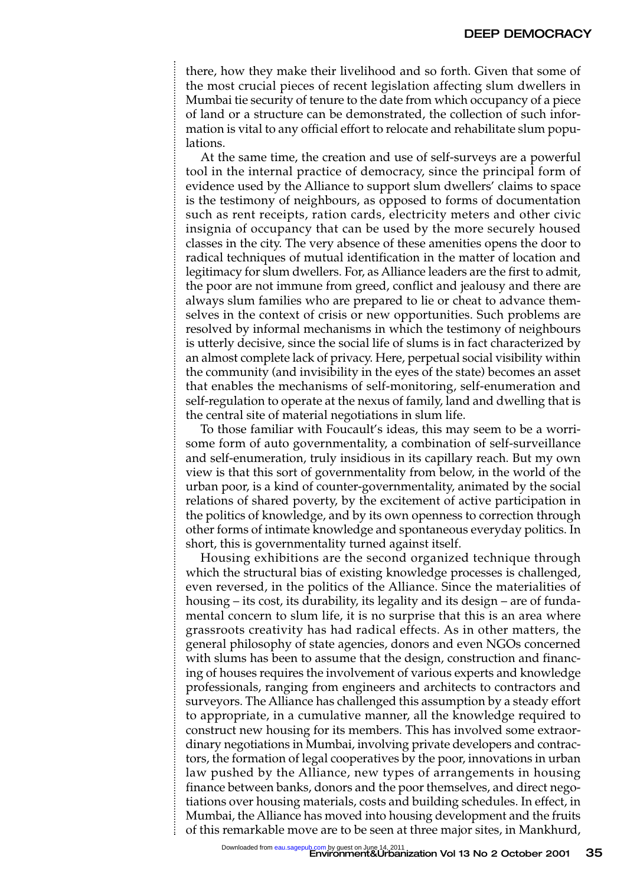there, how they make their livelihood and so forth. Given that some of the most crucial pieces of recent legislation affecting slum dwellers in Mumbai tie security of tenure to the date from which occupancy of a piece of land or a structure can be demonstrated, the collection of such information is vital to any official effort to relocate and rehabilitate slum populations.

At the same time, the creation and use of self-surveys are a powerful tool in the internal practice of democracy, since the principal form of evidence used by the Alliance to support slum dwellers' claims to space is the testimony of neighbours, as opposed to forms of documentation such as rent receipts, ration cards, electricity meters and other civic insignia of occupancy that can be used by the more securely housed classes in the city. The very absence of these amenities opens the door to radical techniques of mutual identification in the matter of location and legitimacy for slum dwellers. For, as Alliance leaders are the first to admit, the poor are not immune from greed, conflict and jealousy and there are always slum families who are prepared to lie or cheat to advance themselves in the context of crisis or new opportunities. Such problems are resolved by informal mechanisms in which the testimony of neighbours is utterly decisive, since the social life of slums is in fact characterized by an almost complete lack of privacy. Here, perpetual social visibility within the community (and invisibility in the eyes of the state) becomes an asset that enables the mechanisms of self-monitoring, self-enumeration and self-regulation to operate at the nexus of family, land and dwelling that is the central site of material negotiations in slum life.

To those familiar with Foucault's ideas, this may seem to be a worrisome form of auto governmentality, a combination of self-surveillance and self-enumeration, truly insidious in its capillary reach. But my own view is that this sort of governmentality from below, in the world of the urban poor, is a kind of counter-governmentality, animated by the social relations of shared poverty, by the excitement of active participation in the politics of knowledge, and by its own openness to correction through other forms of intimate knowledge and spontaneous everyday politics. In short, this is governmentality turned against itself.

Housing exhibitions are the second organized technique through which the structural bias of existing knowledge processes is challenged, even reversed, in the politics of the Alliance. Since the materialities of housing – its cost, its durability, its legality and its design – are of fundamental concern to slum life, it is no surprise that this is an area where grassroots creativity has had radical effects. As in other matters, the general philosophy of state agencies, donors and even NGOs concerned with slums has been to assume that the design, construction and financing of houses requires the involvement of various experts and knowledge professionals, ranging from engineers and architects to contractors and surveyors. The Alliance has challenged this assumption by a steady effort to appropriate, in a cumulative manner, all the knowledge required to construct new housing for its members. This has involved some extraordinary negotiations in Mumbai, involving private developers and contractors, the formation of legal cooperatives by the poor, innovations in urban law pushed by the Alliance, new types of arrangements in housing finance between banks, donors and the poor themselves, and direct negotiations over housing materials, costs and building schedules. In effect, in Mumbai, the Alliance has moved into housing development and the fruits of this remarkable move are to be seen at three major sites, in Mankhurd,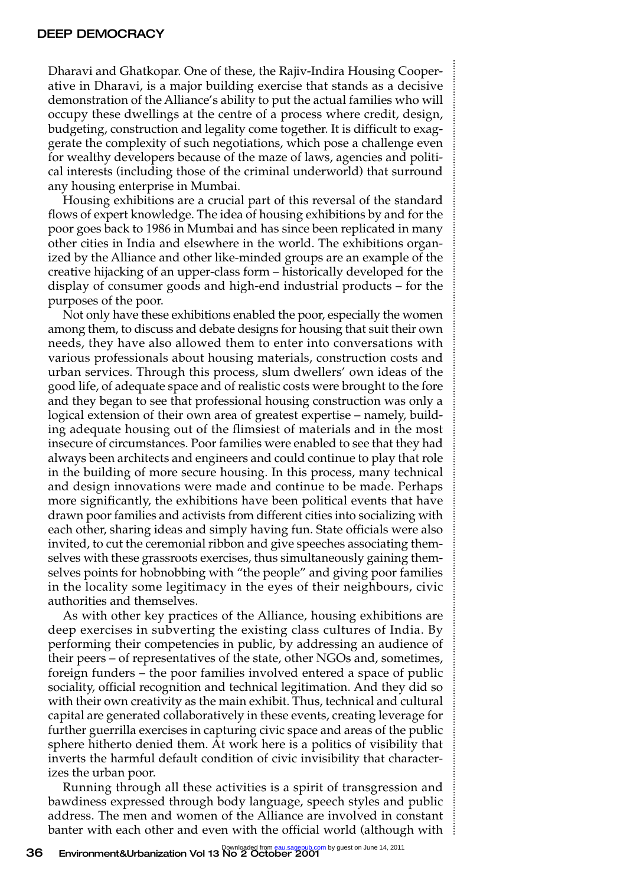Dharavi and Ghatkopar. One of these, the Rajiv-Indira Housing Cooperative in Dharavi, is a major building exercise that stands as a decisive demonstration of the Alliance's ability to put the actual families who will occupy these dwellings at the centre of a process where credit, design, budgeting, construction and legality come together. It is difficult to exaggerate the complexity of such negotiations, which pose a challenge even for wealthy developers because of the maze of laws, agencies and political interests (including those of the criminal underworld) that surround any housing enterprise in Mumbai.

Housing exhibitions are a crucial part of this reversal of the standard flows of expert knowledge. The idea of housing exhibitions by and for the poor goes back to 1986 in Mumbai and has since been replicated in many other cities in India and elsewhere in the world. The exhibitions organized by the Alliance and other like-minded groups are an example of the creative hijacking of an upper-class form – historically developed for the display of consumer goods and high-end industrial products – for the purposes of the poor.

Not only have these exhibitions enabled the poor, especially the women among them, to discuss and debate designs for housing that suit their own needs, they have also allowed them to enter into conversations with various professionals about housing materials, construction costs and urban services. Through this process, slum dwellers' own ideas of the good life, of adequate space and of realistic costs were brought to the fore and they began to see that professional housing construction was only a logical extension of their own area of greatest expertise – namely, building adequate housing out of the flimsiest of materials and in the most insecure of circumstances. Poor families were enabled to see that they had always been architects and engineers and could continue to play that role in the building of more secure housing. In this process, many technical and design innovations were made and continue to be made. Perhaps more significantly, the exhibitions have been political events that have drawn poor families and activists from different cities into socializing with each other, sharing ideas and simply having fun. State officials were also invited, to cut the ceremonial ribbon and give speeches associating themselves with these grassroots exercises, thus simultaneously gaining themselves points for hobnobbing with "the people" and giving poor families in the locality some legitimacy in the eyes of their neighbours, civic authorities and themselves.

As with other key practices of the Alliance, housing exhibitions are deep exercises in subverting the existing class cultures of India. By performing their competencies in public, by addressing an audience of their peers – of representatives of the state, other NGOs and, sometimes, foreign funders – the poor families involved entered a space of public sociality, official recognition and technical legitimation. And they did so with their own creativity as the main exhibit. Thus, technical and cultural capital are generated collaboratively in these events, creating leverage for further guerrilla exercises in capturing civic space and areas of the public sphere hitherto denied them. At work here is a politics of visibility that inverts the harmful default condition of civic invisibility that characterizes the urban poor.

Running through all these activities is a spirit of transgression and bawdiness expressed through body language, speech styles and public address. The men and women of the Alliance are involved in constant banter with each other and even with the official world (although with  $\frac{1}{2}$ )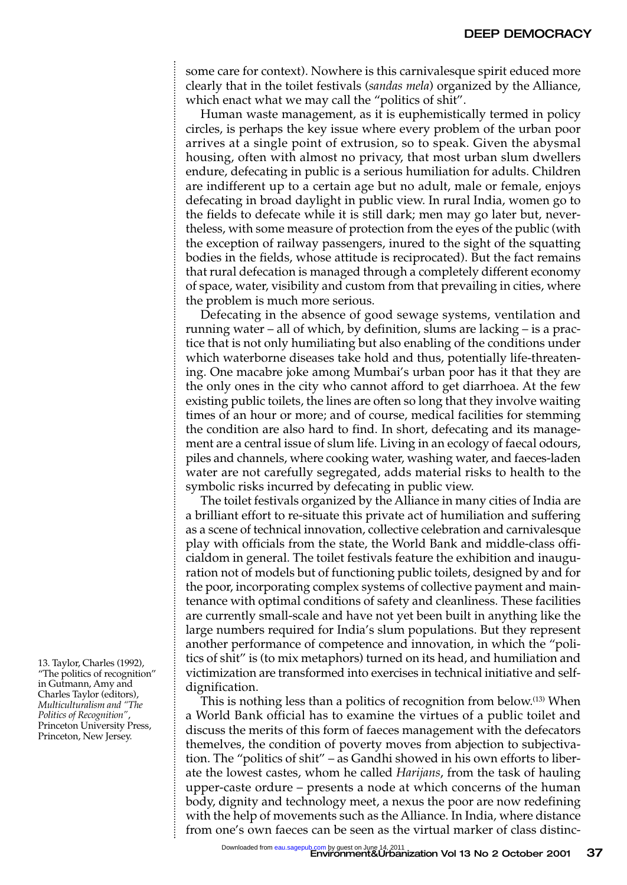some care for context). Nowhere is this carnivalesque spirit educed more clearly that in the toilet festivals (*sandas mela*) organized by the Alliance, which enact what we may call the "politics of shit".

Human waste management, as it is euphemistically termed in policy circles, is perhaps the key issue where every problem of the urban poor arrives at a single point of extrusion, so to speak. Given the abysmal housing, often with almost no privacy, that most urban slum dwellers endure, defecating in public is a serious humiliation for adults. Children are indifferent up to a certain age but no adult, male or female, enjoys defecating in broad daylight in public view. In rural India, women go to the fields to defecate while it is still dark; men may go later but, nevertheless, with some measure of protection from the eyes of the public (with the exception of railway passengers, inured to the sight of the squatting bodies in the fields, whose attitude is reciprocated). But the fact remains that rural defecation is managed through a completely different economy of space, water, visibility and custom from that prevailing in cities, where the problem is much more serious.

Defecating in the absence of good sewage systems, ventilation and running water – all of which, by definition, slums are lacking – is a practice that is not only humiliating but also enabling of the conditions under which waterborne diseases take hold and thus, potentially life-threatening. One macabre joke among Mumbai's urban poor has it that they are the only ones in the city who cannot afford to get diarrhoea. At the few existing public toilets, the lines are often so long that they involve waiting times of an hour or more; and of course, medical facilities for stemming the condition are also hard to find. In short, defecating and its management are a central issue of slum life. Living in an ecology of faecal odours, piles and channels, where cooking water, washing water, and faeces-laden water are not carefully segregated, adds material risks to health to the symbolic risks incurred by defecating in public view.

The toilet festivals organized by the Alliance in many cities of India are a brilliant effort to re-situate this private act of humiliation and suffering as a scene of technical innovation, collective celebration and carnivalesque play with officials from the state, the World Bank and middle-class officialdom in general. The toilet festivals feature the exhibition and inauguration not of models but of functioning public toilets, designed by and for the poor, incorporating complex systems of collective payment and maintenance with optimal conditions of safety and cleanliness. These facilities are currently small-scale and have not yet been built in anything like the large numbers required for India's slum populations. But they represent another performance of competence and innovation, in which the "politics of shit" is (to mix metaphors) turned on its head, and humiliation and victimization are transformed into exercises in technical initiative and selfdignification.

This is nothing less than a politics of recognition from below.(13) When a World Bank official has to examine the virtues of a public toilet and discuss the merits of this form of faeces management with the defecators themelves, the condition of poverty moves from abjection to subjectivation. The "politics of shit" – as Gandhi showed in his own efforts to liberate the lowest castes, whom he called *Harijans*, from the task of hauling upper-caste ordure – presents a node at which concerns of the human body, dignity and technology meet, a nexus the poor are now redefining with the help of movements such as the Alliance. In India, where distance from one's own faeces can be seen as the virtual marker of class distinc-

13. Taylor, Charles (1992), "The politics of recognition" in Gutmann, Amy and Charles Taylor (editors), *Multiculturalism and "The Politics of Recognition"*, Princeton University Press, Princeton, New Jersey.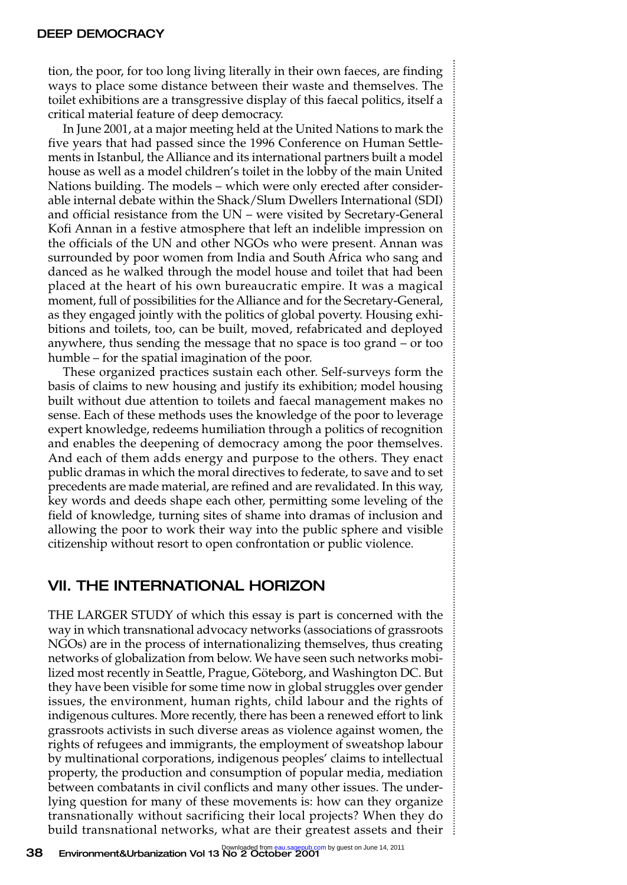tion, the poor, for too long living literally in their own faeces, are finding ways to place some distance between their waste and themselves. The toilet exhibitions are a transgressive display of this faecal politics, itself a critical material feature of deep democracy.

In June 2001, at a major meeting held at the United Nations to mark the five years that had passed since the 1996 Conference on Human Settlements in Istanbul, the Alliance and its international partners built a model house as well as a model children's toilet in the lobby of the main United Nations building. The models – which were only erected after considerable internal debate within the Shack/Slum Dwellers International (SDI) and official resistance from the UN – were visited by Secretary-General Kofi Annan in a festive atmosphere that left an indelible impression on the officials of the UN and other NGOs who were present. Annan was surrounded by poor women from India and South Africa who sang and danced as he walked through the model house and toilet that had been placed at the heart of his own bureaucratic empire. It was a magical moment, full of possibilities for the Alliance and for the Secretary-General, as they engaged jointly with the politics of global poverty. Housing exhibitions and toilets, too, can be built, moved, refabricated and deployed anywhere, thus sending the message that no space is too grand – or too humble – for the spatial imagination of the poor.

These organized practices sustain each other. Self-surveys form the basis of claims to new housing and justify its exhibition; model housing built without due attention to toilets and faecal management makes no sense. Each of these methods uses the knowledge of the poor to leverage expert knowledge, redeems humiliation through a politics of recognition and enables the deepening of democracy among the poor themselves. And each of them adds energy and purpose to the others. They enact public dramas in which the moral directives to federate, to save and to set precedents are made material, are refined and are revalidated. In this way, key words and deeds shape each other, permitting some leveling of the field of knowledge, turning sites of shame into dramas of inclusion and allowing the poor to work their way into the public sphere and visible citizenship without resort to open confrontation or public violence.

### VII. THE INTERNATIONAL HORIZON

THE LARGER STUDY of which this essay is part is concerned with the way in which transnational advocacy networks (associations of grassroots NGOs) are in the process of internationalizing themselves, thus creating networks of globalization from below. We have seen such networks mobilized most recently in Seattle, Prague, Göteborg, and Washington DC. But they have been visible for some time now in global struggles over gender issues, the environment, human rights, child labour and the rights of indigenous cultures. More recently, there has been a renewed effort to link grassroots activists in such diverse areas as violence against women, the rights of refugees and immigrants, the employment of sweatshop labour by multinational corporations, indigenous peoples' claims to intellectual property, the production and consumption of popular media, mediation between combatants in civil conflicts and many other issues. The underlying question for many of these movements is: how can they organize transnationally without sacrificing their local projects? When they do build transnational networks, what are their greatest assets and their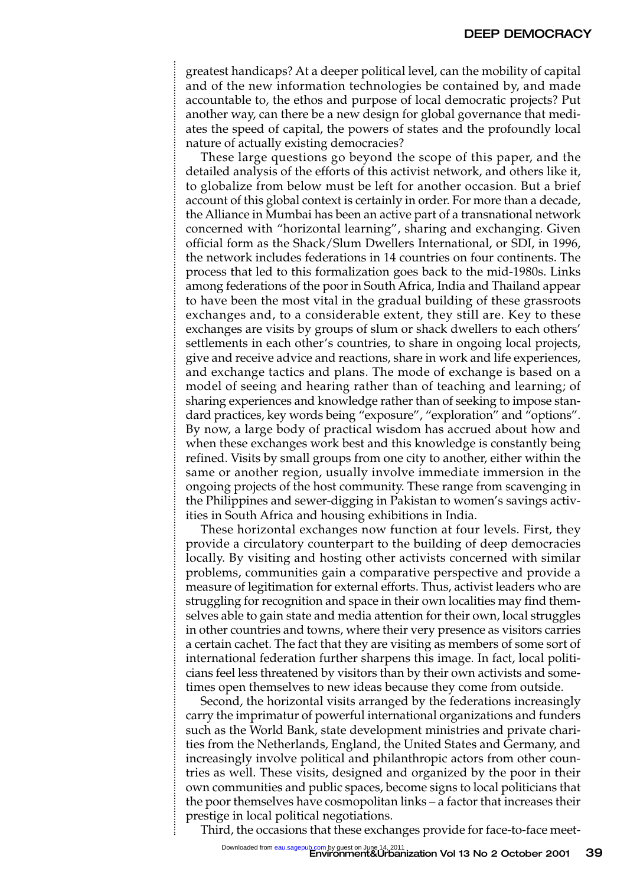greatest handicaps? At a deeper political level, can the mobility of capital and of the new information technologies be contained by, and made accountable to, the ethos and purpose of local democratic projects? Put another way, can there be a new design for global governance that mediates the speed of capital, the powers of states and the profoundly local nature of actually existing democracies?

These large questions go beyond the scope of this paper, and the detailed analysis of the efforts of this activist network, and others like it, to globalize from below must be left for another occasion. But a brief account of this global context is certainly in order. For more than a decade, the Alliance in Mumbai has been an active part of a transnational network concerned with "horizontal learning", sharing and exchanging. Given official form as the Shack/Slum Dwellers International, or SDI, in 1996, the network includes federations in 14 countries on four continents. The process that led to this formalization goes back to the mid-1980s. Links among federations of the poor in South Africa, India and Thailand appear to have been the most vital in the gradual building of these grassroots exchanges and, to a considerable extent, they still are. Key to these exchanges are visits by groups of slum or shack dwellers to each others' settlements in each other's countries, to share in ongoing local projects, give and receive advice and reactions, share in work and life experiences, and exchange tactics and plans. The mode of exchange is based on a model of seeing and hearing rather than of teaching and learning; of sharing experiences and knowledge rather than of seeking to impose standard practices, key words being "exposure", "exploration" and "options". By now, a large body of practical wisdom has accrued about how and when these exchanges work best and this knowledge is constantly being refined. Visits by small groups from one city to another, either within the same or another region, usually involve immediate immersion in the ongoing projects of the host community. These range from scavenging in the Philippines and sewer-digging in Pakistan to women's savings activities in South Africa and housing exhibitions in India.

These horizontal exchanges now function at four levels. First, they provide a circulatory counterpart to the building of deep democracies locally. By visiting and hosting other activists concerned with similar problems, communities gain a comparative perspective and provide a measure of legitimation for external efforts. Thus, activist leaders who are struggling for recognition and space in their own localities may find themselves able to gain state and media attention for their own, local struggles in other countries and towns, where their very presence as visitors carries a certain cachet. The fact that they are visiting as members of some sort of international federation further sharpens this image. In fact, local politicians feel less threatened by visitors than by their own activists and sometimes open themselves to new ideas because they come from outside.

Second, the horizontal visits arranged by the federations increasingly carry the imprimatur of powerful international organizations and funders such as the World Bank, state development ministries and private charities from the Netherlands, England, the United States and Germany, and increasingly involve political and philanthropic actors from other countries as well. These visits, designed and organized by the poor in their own communities and public spaces, become signs to local politicians that the poor themselves have cosmopolitan links – a factor that increases their prestige in local political negotiations.

Third, the occasions that these exchanges provide for face-to-face meet-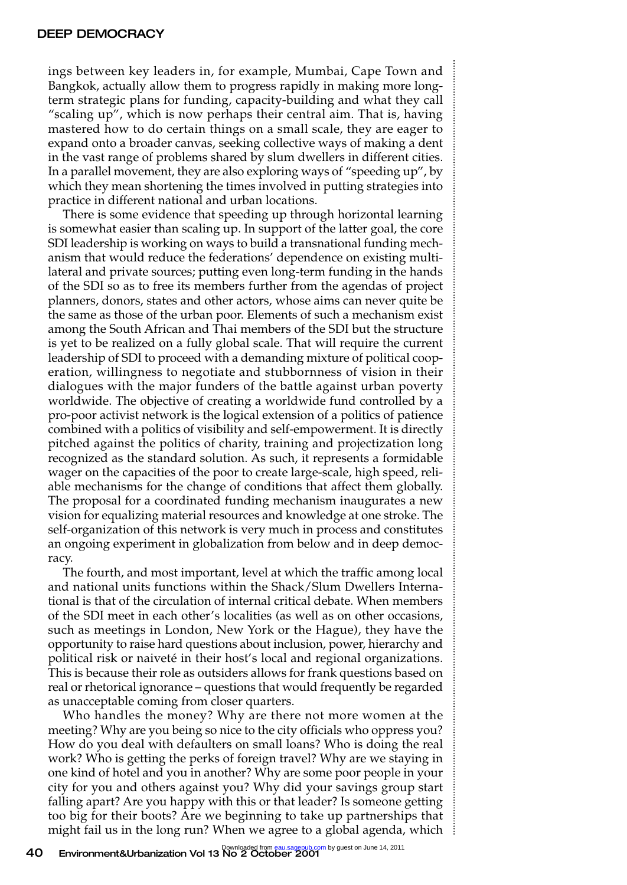ings between key leaders in, for example, Mumbai, Cape Town and Bangkok, actually allow them to progress rapidly in making more longterm strategic plans for funding, capacity-building and what they call "scaling up", which is now perhaps their central aim. That is, having mastered how to do certain things on a small scale, they are eager to expand onto a broader canvas, seeking collective ways of making a dent in the vast range of problems shared by slum dwellers in different cities. In a parallel movement, they are also exploring ways of "speeding up", by which they mean shortening the times involved in putting strategies into practice in different national and urban locations.

There is some evidence that speeding up through horizontal learning is somewhat easier than scaling up. In support of the latter goal, the core SDI leadership is working on ways to build a transnational funding mechanism that would reduce the federations' dependence on existing multilateral and private sources; putting even long-term funding in the hands of the SDI so as to free its members further from the agendas of project planners, donors, states and other actors, whose aims can never quite be the same as those of the urban poor. Elements of such a mechanism exist among the South African and Thai members of the SDI but the structure is yet to be realized on a fully global scale. That will require the current leadership of SDI to proceed with a demanding mixture of political cooperation, willingness to negotiate and stubbornness of vision in their dialogues with the major funders of the battle against urban poverty worldwide. The objective of creating a worldwide fund controlled by a pro-poor activist network is the logical extension of a politics of patience combined with a politics of visibility and self-empowerment. It is directly pitched against the politics of charity, training and projectization long recognized as the standard solution. As such, it represents a formidable wager on the capacities of the poor to create large-scale, high speed, reliable mechanisms for the change of conditions that affect them globally. The proposal for a coordinated funding mechanism inaugurates a new vision for equalizing material resources and knowledge at one stroke. The self-organization of this network is very much in process and constitutes an ongoing experiment in globalization from below and in deep democracy.

The fourth, and most important, level at which the traffic among local and national units functions within the Shack/Slum Dwellers International is that of the circulation of internal critical debate. When members of the SDI meet in each other's localities (as well as on other occasions, such as meetings in London, New York or the Hague), they have the opportunity to raise hard questions about inclusion, power, hierarchy and political risk or naiveté in their host's local and regional organizations. This is because their role as outsiders allows for frank questions based on real or rhetorical ignorance – questions that would frequently be regarded as unacceptable coming from closer quarters.

Who handles the money? Why are there not more women at the meeting? Why are you being so nice to the city officials who oppress you? How do you deal with defaulters on small loans? Who is doing the real work? Who is getting the perks of foreign travel? Why are we staying in one kind of hotel and you in another? Why are some poor people in your city for you and others against you? Why did your savings group start falling apart? Are you happy with this or that leader? Is someone getting too big for their boots? Are we beginning to take up partnerships that might fail us in the long run? When we agree to a global agenda, which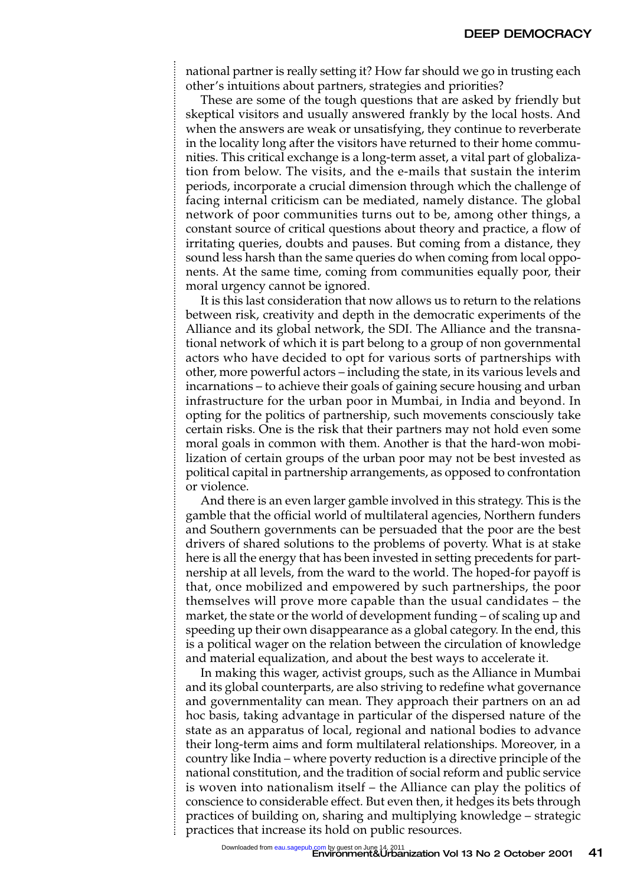national partner is really setting it? How far should we go in trusting each other's intuitions about partners, strategies and priorities?

These are some of the tough questions that are asked by friendly but skeptical visitors and usually answered frankly by the local hosts. And when the answers are weak or unsatisfying, they continue to reverberate in the locality long after the visitors have returned to their home communities. This critical exchange is a long-term asset, a vital part of globalization from below. The visits, and the e-mails that sustain the interim periods, incorporate a crucial dimension through which the challenge of facing internal criticism can be mediated, namely distance. The global network of poor communities turns out to be, among other things, a constant source of critical questions about theory and practice, a flow of irritating queries, doubts and pauses. But coming from a distance, they sound less harsh than the same queries do when coming from local opponents. At the same time, coming from communities equally poor, their moral urgency cannot be ignored.

It is this last consideration that now allows us to return to the relations between risk, creativity and depth in the democratic experiments of the Alliance and its global network, the SDI. The Alliance and the transnational network of which it is part belong to a group of non governmental actors who have decided to opt for various sorts of partnerships with other, more powerful actors – including the state, in its various levels and incarnations – to achieve their goals of gaining secure housing and urban infrastructure for the urban poor in Mumbai, in India and beyond. In opting for the politics of partnership, such movements consciously take certain risks. One is the risk that their partners may not hold even some moral goals in common with them. Another is that the hard-won mobilization of certain groups of the urban poor may not be best invested as political capital in partnership arrangements, as opposed to confrontation or violence.

And there is an even larger gamble involved in this strategy. This is the gamble that the official world of multilateral agencies, Northern funders and Southern governments can be persuaded that the poor are the best drivers of shared solutions to the problems of poverty. What is at stake here is all the energy that has been invested in setting precedents for partnership at all levels, from the ward to the world. The hoped-for payoff is that, once mobilized and empowered by such partnerships, the poor themselves will prove more capable than the usual candidates – the market, the state or the world of development funding – of scaling up and speeding up their own disappearance as a global category. In the end, this is a political wager on the relation between the circulation of knowledge and material equalization, and about the best ways to accelerate it.

In making this wager, activist groups, such as the Alliance in Mumbai and its global counterparts, are also striving to redefine what governance and governmentality can mean. They approach their partners on an ad hoc basis, taking advantage in particular of the dispersed nature of the state as an apparatus of local, regional and national bodies to advance their long-term aims and form multilateral relationships. Moreover, in a country like India – where poverty reduction is a directive principle of the national constitution, and the tradition of social reform and public service is woven into nationalism itself – the Alliance can play the politics of conscience to considerable effect. But even then, it hedges its bets through practices of building on, sharing and multiplying knowledge – strategic practices that increase its hold on public resources.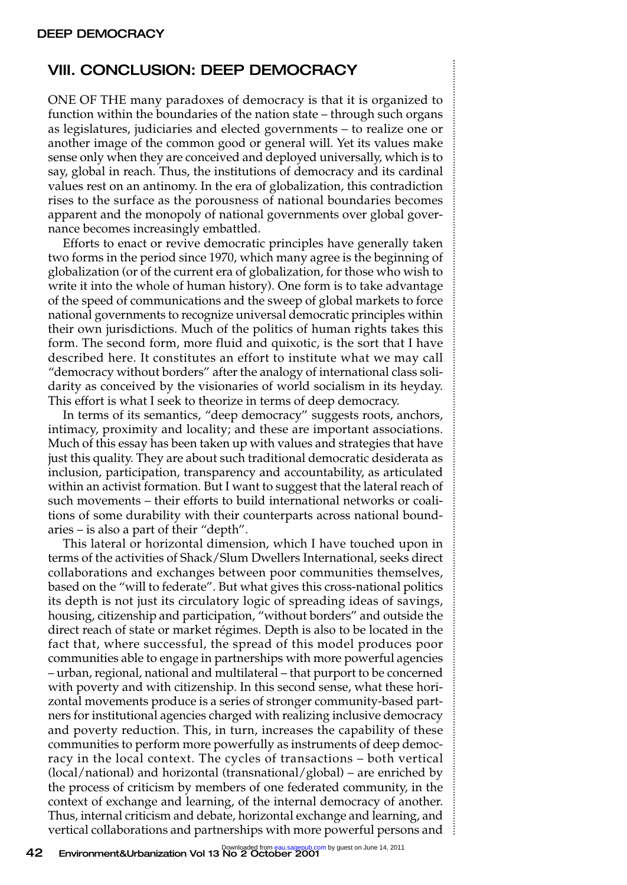### VIII. CONCLUSION: DEEP DEMOCRACY

ONE OF THE many paradoxes of democracy is that it is organized to function within the boundaries of the nation state – through such organs as legislatures, judiciaries and elected governments – to realize one or another image of the common good or general will. Yet its values make sense only when they are conceived and deployed universally, which is to say, global in reach. Thus, the institutions of democracy and its cardinal values rest on an antinomy. In the era of globalization, this contradiction rises to the surface as the porousness of national boundaries becomes apparent and the monopoly of national governments over global governance becomes increasingly embattled.

Efforts to enact or revive democratic principles have generally taken two forms in the period since 1970, which many agree is the beginning of globalization (or of the current era of globalization, for those who wish to write it into the whole of human history). One form is to take advantage of the speed of communications and the sweep of global markets to force national governments to recognize universal democratic principles within their own jurisdictions. Much of the politics of human rights takes this form. The second form, more fluid and quixotic, is the sort that I have described here. It constitutes an effort to institute what we may call "democracy without borders" after the analogy of international class solidarity as conceived by the visionaries of world socialism in its heyday. This effort is what I seek to theorize in terms of deep democracy.

In terms of its semantics, "deep democracy" suggests roots, anchors, intimacy, proximity and locality; and these are important associations. Much of this essay has been taken up with values and strategies that have just this quality. They are about such traditional democratic desiderata as inclusion, participation, transparency and accountability, as articulated within an activist formation. But I want to suggest that the lateral reach of such movements – their efforts to build international networks or coalitions of some durability with their counterparts across national boundaries – is also a part of their "depth".

This lateral or horizontal dimension, which I have touched upon in terms of the activities of Shack/Slum Dwellers International, seeks direct collaborations and exchanges between poor communities themselves, based on the "will to federate". But what gives this cross-national politics its depth is not just its circulatory logic of spreading ideas of savings, housing, citizenship and participation, "without borders" and outside the direct reach of state or market régimes. Depth is also to be located in the fact that, where successful, the spread of this model produces poor communities able to engage in partnerships with more powerful agencies – urban, regional, national and multilateral – that purport to be concerned with poverty and with citizenship. In this second sense, what these horizontal movements produce is a series of stronger community-based partners for institutional agencies charged with realizing inclusive democracy and poverty reduction. This, in turn, increases the capability of these communities to perform more powerfully as instruments of deep democracy in the local context. The cycles of transactions – both vertical (local/national) and horizontal (transnational/global) – are enriched by the process of criticism by members of one federated community, in the context of exchange and learning, of the internal democracy of another. Thus, internal criticism and debate, horizontal exchange and learning, and vertical collaborations and partnerships with more powerful persons and

**42** Environment&Urbanization Vol 13 No 2 October 2001